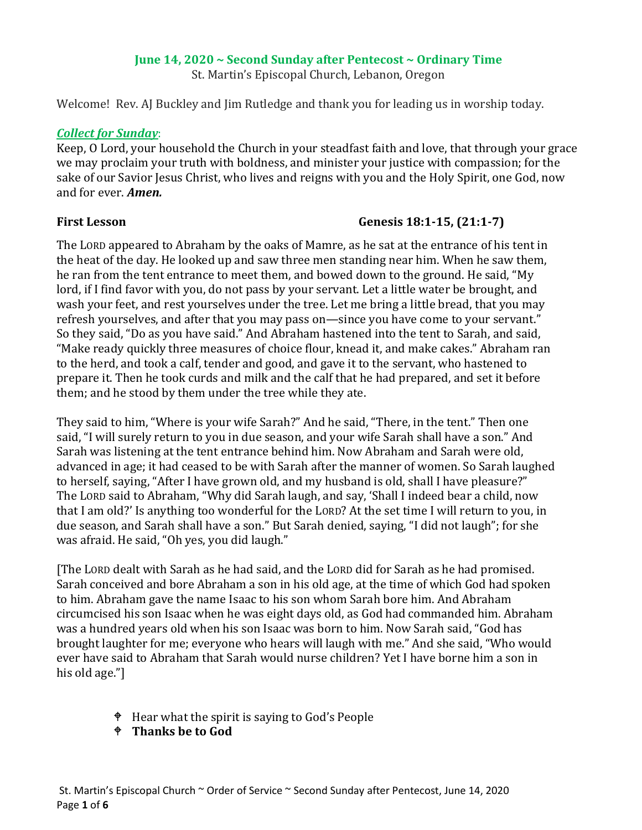### **June 14, 2020 ~ Second Sunday after Pentecost ~ Ordinary Time**

St. Martin's Episcopal Church, Lebanon, Oregon

Welcome! Rev. AJ Buckley and Jim Rutledge and thank you for leading us in worship today.

### *Collect for Sunday*:

Keep, O Lord, your household the Church in your steadfast faith and love, that through your grace we may proclaim your truth with boldness, and minister your justice with compassion; for the sake of our Savior Jesus Christ, who lives and reigns with you and the Holy Spirit, one God, now and for ever. *Amen.*

## **First Lesson Genesis 18:1-15, (21:1-7)**

The LORD appeared to Abraham by the oaks of Mamre, as he sat at the entrance of his tent in the heat of the day. He looked up and saw three men standing near him. When he saw them, he ran from the tent entrance to meet them, and bowed down to the ground. He said, "My lord, if I find favor with you, do not pass by your servant. Let a little water be brought, and wash your feet, and rest yourselves under the tree. Let me bring a little bread, that you may refresh yourselves, and after that you may pass on—since you have come to your servant." So they said, "Do as you have said." And Abraham hastened into the tent to Sarah, and said, "Make ready quickly three measures of choice flour, knead it, and make cakes." Abraham ran to the herd, and took a calf, tender and good, and gave it to the servant, who hastened to prepare it. Then he took curds and milk and the calf that he had prepared, and set it before them; and he stood by them under the tree while they ate.

They said to him, "Where is your wife Sarah?" And he said, "There, in the tent." Then one said, "I will surely return to you in due season, and your wife Sarah shall have a son." And Sarah was listening at the tent entrance behind him. Now Abraham and Sarah were old, advanced in age; it had ceased to be with Sarah after the manner of women. So Sarah laughed to herself, saying, "After I have grown old, and my husband is old, shall I have pleasure?" The LORD said to Abraham, "Why did Sarah laugh, and say, 'Shall I indeed bear a child, now that I am old?' Is anything too wonderful for the LORD? At the set time I will return to you, in due season, and Sarah shall have a son." But Sarah denied, saying, "I did not laugh"; for she was afraid. He said, "Oh yes, you did laugh."

[The LORD dealt with Sarah as he had said, and the LORD did for Sarah as he had promised. Sarah conceived and bore Abraham a son in his old age, at the time of which God had spoken to him. Abraham gave the name Isaac to his son whom Sarah bore him. And Abraham circumcised his son Isaac when he was eight days old, as God had commanded him. Abraham was a hundred years old when his son Isaac was born to him. Now Sarah said, "God has brought laughter for me; everyone who hears will laugh with me." And she said, "Who would ever have said to Abraham that Sarah would nurse children? Yet I have borne him a son in his old age."]

- Hear what the spirit is saying to God's People
- **Thanks be to God**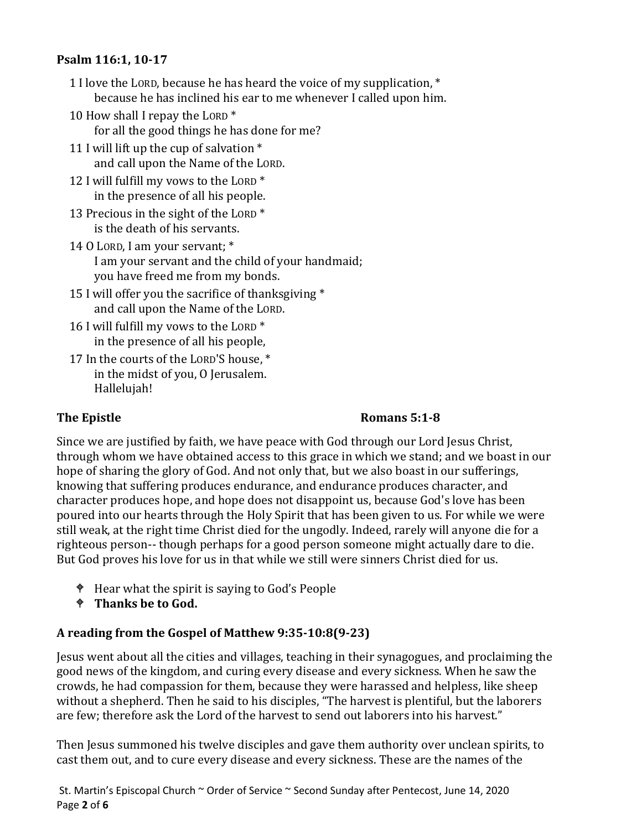## **Psalm 116:1, 10-17**

- 1 I love the LORD, because he has heard the voice of my supplication, \* because he has inclined his ear to me whenever I called upon him.
- 10 How shall I repay the LORD \* for all the good things he has done for me?
- 11 I will lift up the cup of salvation \* and call upon the Name of the LORD.
- 12 I will fulfill my vows to the LORD \* in the presence of all his people.
- 13 Precious in the sight of the LORD \* is the death of his servants.
- 14 O LORD, I am your servant; \* I am your servant and the child of your handmaid; you have freed me from my bonds.
- 15 I will offer you the sacrifice of thanksgiving \* and call upon the Name of the LORD.
- 16 I will fulfill my vows to the LORD \* in the presence of all his people,
- 17 In the courts of the LORD'S house, \* in the midst of you, O Jerusalem. Hallelujah!

# **The Epistle Romans 5:1-8**

Since we are justified by faith, we have peace with God through our Lord Jesus Christ, through whom we have obtained access to this grace in which we stand; and we boast in our hope of sharing the glory of God. And not only that, but we also boast in our sufferings, knowing that suffering produces endurance, and endurance produces character, and character produces hope, and hope does not disappoint us, because God's love has been poured into our hearts through the Holy Spirit that has been given to us. For while we were still weak, at the right time Christ died for the ungodly. Indeed, rarely will anyone die for a righteous person-- though perhaps for a good person someone might actually dare to die. But God proves his love for us in that while we still were sinners Christ died for us.

- $\bullet$  Hear what the spirit is saying to God's People
- **Thanks be to God.**

# **A reading from the Gospel of Matthew 9:35-10:8(9-23)**

Jesus went about all the cities and villages, teaching in their synagogues, and proclaiming the good news of the kingdom, and curing every disease and every sickness. When he saw the crowds, he had compassion for them, because they were harassed and helpless, like sheep without a shepherd. Then he said to his disciples, "The harvest is plentiful, but the laborers are few; therefore ask the Lord of the harvest to send out laborers into his harvest."

Then Jesus summoned his twelve disciples and gave them authority over unclean spirits, to cast them out, and to cure every disease and every sickness. These are the names of the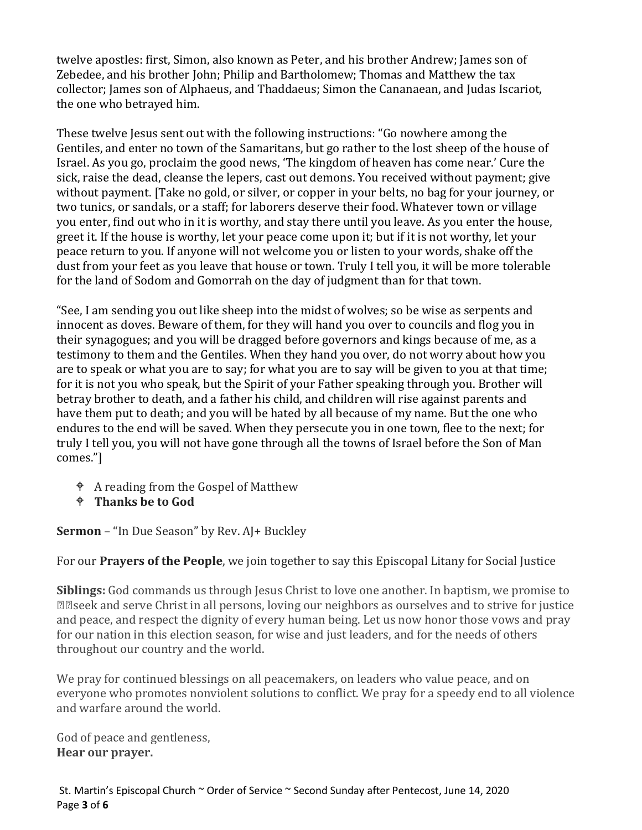twelve apostles: first, Simon, also known as Peter, and his brother Andrew; James son of Zebedee, and his brother John; Philip and Bartholomew; Thomas and Matthew the tax collector; James son of Alphaeus, and Thaddaeus; Simon the Cananaean, and Judas Iscariot, the one who betrayed him.

These twelve Jesus sent out with the following instructions: "Go nowhere among the Gentiles, and enter no town of the Samaritans, but go rather to the lost sheep of the house of Israel. As you go, proclaim the good news, 'The kingdom of heaven has come near.' Cure the sick, raise the dead, cleanse the lepers, cast out demons. You received without payment; give without payment. [Take no gold, or silver, or copper in your belts, no bag for your journey, or two tunics, or sandals, or a staff; for laborers deserve their food. Whatever town or village you enter, find out who in it is worthy, and stay there until you leave. As you enter the house, greet it. If the house is worthy, let your peace come upon it; but if it is not worthy, let your peace return to you. If anyone will not welcome you or listen to your words, shake off the dust from your feet as you leave that house or town. Truly I tell you, it will be more tolerable for the land of Sodom and Gomorrah on the day of judgment than for that town.

"See, I am sending you out like sheep into the midst of wolves; so be wise as serpents and innocent as doves. Beware of them, for they will hand you over to councils and flog you in their synagogues; and you will be dragged before governors and kings because of me, as a testimony to them and the Gentiles. When they hand you over, do not worry about how you are to speak or what you are to say; for what you are to say will be given to you at that time; for it is not you who speak, but the Spirit of your Father speaking through you. Brother will betray brother to death, and a father his child, and children will rise against parents and have them put to death; and you will be hated by all because of my name. But the one who endures to the end will be saved. When they persecute you in one town, flee to the next; for truly I tell you, you will not have gone through all the towns of Israel before the Son of Man comes."]

- A reading from the Gospel of Matthew
- **Thanks be to God**

**Sermon** – "In Due Season" by Rev. AJ+ Buckley

For our **Prayers of the People**, we join together to say this Episcopal Litany for Social Justice

**Siblings:** God commands us through Jesus Christ to love one another. In baptism, we promise to €œseek and serve Christ in all persons, loving our neighbors as ourselves and to strive for justice and peace, and respect the dignity of every human being. Let us now honor those vows and pray for our nation in this election season, for wise and just leaders, and for the needs of others throughout our country and the world.

We pray for continued blessings on all peacemakers, on leaders who value peace, and on everyone who promotes nonviolent solutions to conflict. We pray for a speedy end to all violence and warfare around the world.

God of peace and gentleness, **Hear our prayer.**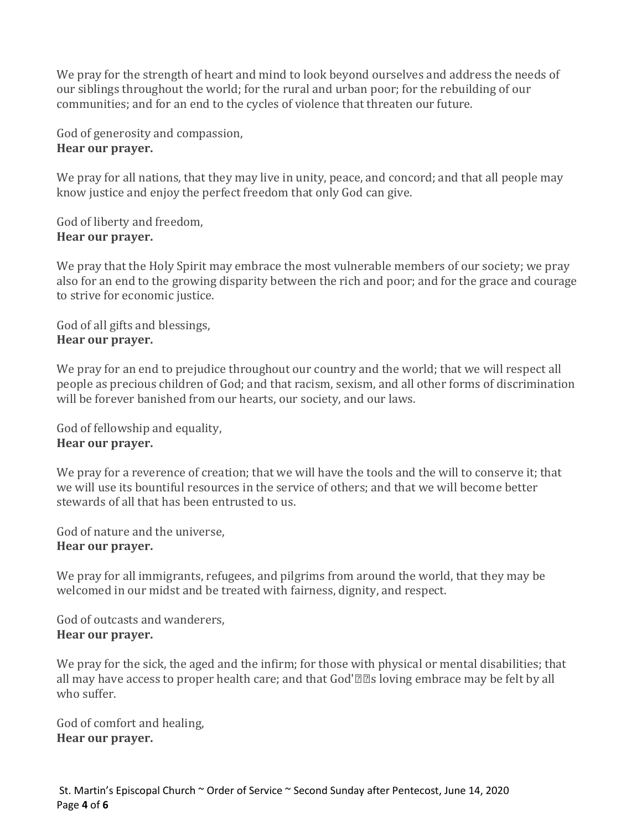We pray for the strength of heart and mind to look beyond ourselves and address the needs of our siblings throughout the world; for the rural and urban poor; for the rebuilding of our communities; and for an end to the cycles of violence that threaten our future.

God of generosity and compassion, **Hear our prayer.**

We pray for all nations, that they may live in unity, peace, and concord; and that all people may know justice and enjoy the perfect freedom that only God can give.

God of liberty and freedom, **Hear our prayer.**

We pray that the Holy Spirit may embrace the most vulnerable members of our society; we pray also for an end to the growing disparity between the rich and poor; and for the grace and courage to strive for economic justice.

God of all gifts and blessings, **Hear our prayer.**

We pray for an end to prejudice throughout our country and the world; that we will respect all people as precious children of God; and that racism, sexism, and all other forms of discrimination will be forever banished from our hearts, our society, and our laws.

God of fellowship and equality, **Hear our prayer.**

We pray for a reverence of creation; that we will have the tools and the will to conserve it; that we will use its bountiful resources in the service of others; and that we will become better stewards of all that has been entrusted to us.

God of nature and the universe, **Hear our prayer.**

We pray for all immigrants, refugees, and pilgrims from around the world, that they may be welcomed in our midst and be treated with fairness, dignity, and respect.

God of outcasts and wanderers, **Hear our prayer.**

We pray for the sick, the aged and the infirm; for those with physical or mental disabilities; that all may have access to proper health care; and that God'€™s loving embrace may be felt by all who suffer.

God of comfort and healing, **Hear our prayer.**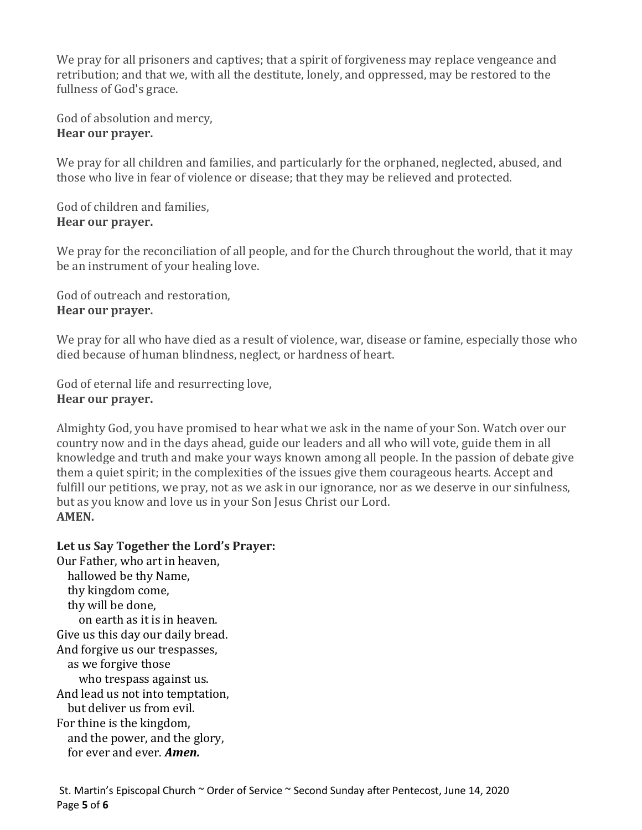We pray for all prisoners and captives; that a spirit of forgiveness may replace vengeance and retribution; and that we, with all the destitute, lonely, and oppressed, may be restored to the fullness of God's grace.

God of absolution and mercy, **Hear our prayer.**

We pray for all children and families, and particularly for the orphaned, neglected, abused, and those who live in fear of violence or disease; that they may be relieved and protected.

God of children and families, **Hear our prayer.**

We pray for the reconciliation of all people, and for the Church throughout the world, that it may be an instrument of your healing love.

God of outreach and restoration, **Hear our prayer.**

We pray for all who have died as a result of violence, war, disease or famine, especially those who died because of human blindness, neglect, or hardness of heart.

God of eternal life and resurrecting love, **Hear our prayer.**

Almighty God, you have promised to hear what we ask in the name of your Son. Watch over our country now and in the days ahead, guide our leaders and all who will vote, guide them in all knowledge and truth and make your ways known among all people. In the passion of debate give them a quiet spirit; in the complexities of the issues give them courageous hearts. Accept and fulfill our petitions, we pray, not as we ask in our ignorance, nor as we deserve in our sinfulness, but as you know and love us in your Son Jesus Christ our Lord. **AMEN.**

# **Let us Say Together the Lord's Prayer:**

Our Father, who art in heaven, hallowed be thy Name, thy kingdom come, thy will be done, on earth as it is in heaven. Give us this day our daily bread. And forgive us our trespasses, as we forgive those who trespass against us. And lead us not into temptation, but deliver us from evil. For thine is the kingdom, and the power, and the glory, for ever and ever. *Amen.*